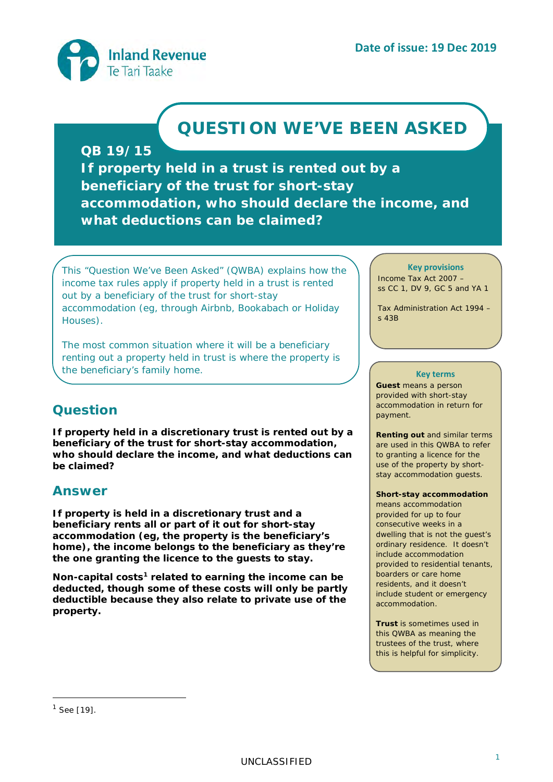<span id="page-0-1"></span>

# **QUESTION WE'VE BEEN ASKED**

## **QB 19/15**

**If property held in a trust is rented out by a beneficiary of the trust for short-stay accommodation, who should declare the income, and what deductions can be claimed?**

*This "Question We've Been Asked" (QWBA) explains how the income tax rules apply if property held in a trust is rented out by a beneficiary of the trust for short-stay accommodation (eg, through Airbnb, Bookabach or Holiday Houses).*

*The most common situation where it will be a beneficiary renting out a property held in trust is where the property is the beneficiary's family home.*

## **Question**

**If property held in a discretionary trust is rented out by a beneficiary of the trust for short-stay accommodation, who should declare the income, and what deductions can be claimed?**

## **Answer**

**If property is held in a discretionary trust and a beneficiary rents all or part of it out for short-stay accommodation (eg, the property is the beneficiary's home), the income belongs to the beneficiary as they're the one granting the licence to the guests to stay.**

**Non-capital costs[1](#page-0-0) related to earning the income can be deducted, though some of these costs will only be partly deductible because they also relate to private use of the property.**

**Key provisions** Income Tax Act 2007 – ss CC 1, DV 9, GC 5 and YA 1

Tax Administration Act 1994 – s 43B

#### **Key terms**

**Guest** means a person provided with short-stay accommodation in return for payment.

**Renting out** and similar terms are used in this QWBA to refer to granting a licence for the use of the property by shortstay accommodation guests.

**Short-stay accommodation**

means accommodation provided for up to four consecutive weeks in a dwelling that is not the guest's ordinary residence. It doesn't include accommodation provided to residential tenants, boarders or care home residents, and it doesn't include student or emergency accommodation.

**Trust** is sometimes used in this QWBA as meaning the trustees of the trust, where this is helpful for simplicity.

-

<span id="page-0-0"></span> $1$  See [\[19\]](#page-4-0).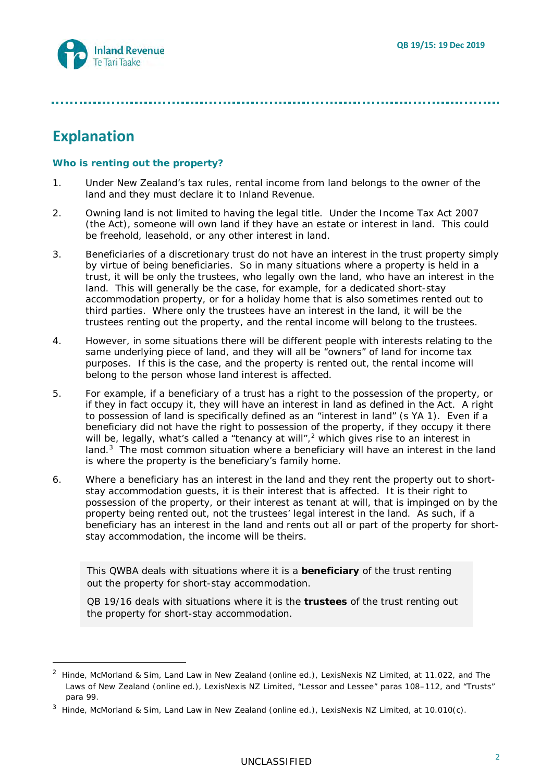## **Explanation**

-

#### **Who is renting out the property?**

- 1. Under New Zealand's tax rules, rental income from land belongs to the owner of the land and they must declare it to Inland Revenue.
- 2. Owning land is not limited to having the legal title. Under the Income Tax Act 2007 (the Act), someone will own land if they have an estate or interest in land. This could be freehold, leasehold, or any other interest in land.
- 3. Beneficiaries of a discretionary trust do not have an interest in the trust property simply by virtue of being beneficiaries. So in many situations where a property is held in a trust, it will be only the trustees, who legally own the land, who have an interest in the land. This will generally be the case, for example, for a dedicated short-stay accommodation property, or for a holiday home that is also sometimes rented out to third parties. Where only the trustees have an interest in the land, it will be the trustees renting out the property, and the rental income will belong to the trustees.
- 4. However, in some situations there will be different people with interests relating to the same underlying piece of land, and they will all be "owners" of land for income tax purposes. If this is the case, and the property is rented out, the rental income will belong to the person whose land interest is affected.
- <span id="page-1-3"></span>5. For example, if a beneficiary of a trust has a right to the possession of the property, or if they in fact occupy it, they will have an interest in land as defined in the Act. A right to possession of land is specifically defined as an "interest in land" (s YA 1). Even if a beneficiary did not have the right to possession of the property, if they occupy it there will be, legally, what's called a "tenancy at will",<sup>[2](#page-1-0)</sup> which gives rise to an interest in land.<sup>3</sup> The most common situation where a beneficiary will have an interest in the land is where the property is the beneficiary's family home.
- <span id="page-1-2"></span>6. Where a beneficiary has an interest in the land and they rent the property out to shortstay accommodation guests, it is their interest that is affected. It is their right to possession of the property, or their interest as tenant at will, that is impinged on by the property being rented out, not the trustees' legal interest in the land. As such, if a beneficiary has an interest in the land and rents out all or part of the property for shortstay accommodation, the income will be theirs.

This QWBA deals with situations where it is a **beneficiary** of the trust renting out the property for short-stay accommodation.

QB 19/16 deals with situations where it is the **trustees** of the trust renting out the property for short-stay accommodation.

<span id="page-1-0"></span><sup>2</sup> Hinde, McMorland & Sim, *Land Law in New Zealand* (online ed.), LexisNexis NZ Limited, at 11.022, and *The Laws of New Zealand* (online ed.), LexisNexis NZ Limited, "Lessor and Lessee" paras 108–112, and "Trusts" para 99.

<span id="page-1-1"></span><sup>3</sup> Hinde, McMorland & Sim, *Land Law in New Zealand* (online ed.), LexisNexis NZ Limited, at 10.010(c).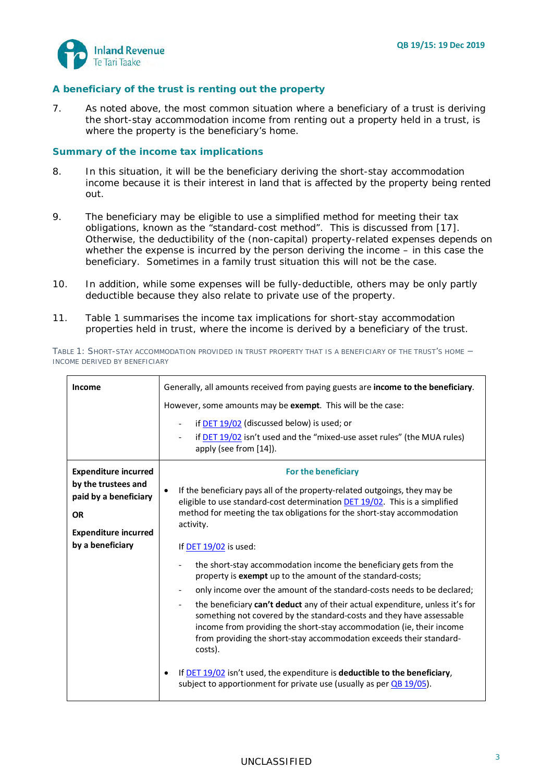

#### **A beneficiary of the trust is renting out the property**

7. As noted above, the most common situation where a beneficiary of a trust is deriving the short-stay accommodation income from renting out a property held in a trust, is where the property is the beneficiary's home.

#### **Summary of the income tax implications**

- 8. In this situation, it will be the beneficiary deriving the short-stay accommodation income because it is their interest in land that is affected by the property being rented out.
- 9. The beneficiary may be eligible to use a simplified method for meeting their tax obligations, known as the "standard-cost method". This is discussed from [\[17\]](#page-3-0). Otherwise, the deductibility of the (non-capital) property-related expenses depends on whether the expense is incurred by the person deriving the income – in this case the beneficiary. Sometimes in a family trust situation this will not be the case.
- 10. In addition, while some expenses will be fully-deductible, others may be only partly deductible because they also relate to private use of the property.
- 11. Table 1 summarises the income tax implications for short-stay accommodation properties held in trust, where the income is derived by a beneficiary of the trust.

*TABLE 1: SHORT-STAY ACCOMMODATION PROVIDED IN TRUST PROPERTY THAT IS A BENEFICIARY OF THE TRUST'S HOME − INCOME DERIVED BY BENEFICIARY*

| <b>Income</b>                                                                                                                               | Generally, all amounts received from paying guests are income to the beneficiary.<br>However, some amounts may be exempt. This will be the case:<br>if DET 19/02 (discussed below) is used; or<br>$\overline{\phantom{a}}$<br>if DET 19/02 isn't used and the "mixed-use asset rules" (the MUA rules)<br>apply (see from [14]).                                                                                                                                                                                                                                                                                                                                                                                                                                                                                                                                                                                                                                                                               |
|---------------------------------------------------------------------------------------------------------------------------------------------|---------------------------------------------------------------------------------------------------------------------------------------------------------------------------------------------------------------------------------------------------------------------------------------------------------------------------------------------------------------------------------------------------------------------------------------------------------------------------------------------------------------------------------------------------------------------------------------------------------------------------------------------------------------------------------------------------------------------------------------------------------------------------------------------------------------------------------------------------------------------------------------------------------------------------------------------------------------------------------------------------------------|
| <b>Expenditure incurred</b><br>by the trustees and<br>paid by a beneficiary<br><b>OR</b><br><b>Expenditure incurred</b><br>by a beneficiary | For the beneficiary<br>If the beneficiary pays all of the property-related outgoings, they may be<br>eligible to use standard-cost determination DET 19/02. This is a simplified<br>method for meeting the tax obligations for the short-stay accommodation<br>activity.<br>If DET 19/02 is used:<br>the short-stay accommodation income the beneficiary gets from the<br>property is <b>exempt</b> up to the amount of the standard-costs;<br>only income over the amount of the standard-costs needs to be declared;<br>the beneficiary can't deduct any of their actual expenditure, unless it's for<br>something not covered by the standard-costs and they have assessable<br>income from providing the short-stay accommodation (ie, their income<br>from providing the short-stay accommodation exceeds their standard-<br>costs).<br>If $DET$ 19/02 isn't used, the expenditure is deductible to the beneficiary,<br>subject to apportionment for private use (usually as per $\overline{OB}$ 19/05). |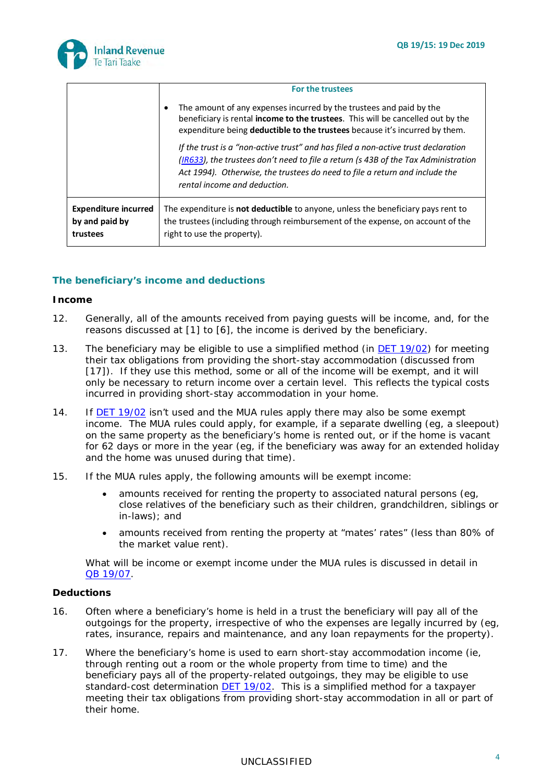

|                                                           | <b>For the trustees</b>                                                                                                                                                                                                                                                                |
|-----------------------------------------------------------|----------------------------------------------------------------------------------------------------------------------------------------------------------------------------------------------------------------------------------------------------------------------------------------|
|                                                           | The amount of any expenses incurred by the trustees and paid by the<br>$\bullet$<br>beneficiary is rental <b>income to the trustees</b> . This will be cancelled out by the<br>expenditure being deductible to the trustees because it's incurred by them.                             |
|                                                           | If the trust is a "non-active trust" and has filed a non-active trust declaration<br>(IR633), the trustees don't need to file a return (s 43B of the Tax Administration<br>Act 1994). Otherwise, the trustees do need to file a return and include the<br>rental income and deduction. |
| <b>Expenditure incurred</b><br>by and paid by<br>trustees | The expenditure is <b>not deductible</b> to anyone, unless the beneficiary pays rent to<br>the trustees (including through reimbursement of the expense, on account of the<br>right to use the property).                                                                              |

#### **The beneficiary's income and deductions**

#### *Income*

- 12. Generally, all of the amounts received from paying guests will be income, and, for the reasons discussed at [\[1\]](#page-0-1) to [\[6\]](#page-1-2), the income is derived by the beneficiary.
- 13. The beneficiary may be eligible to use a simplified method (in DET [19/02\)](https://www.classic.ird.govt.nz/technical-tax/determinations/other/standard-cost/standard-cost-short-stay/) for meeting their tax obligations from providing the short-stay accommodation (discussed from [\[17\]](#page-3-0)). If they use this method, some or all of the income will be exempt, and it will only be necessary to return income over a certain level. This reflects the typical costs incurred in providing short-stay accommodation in your home.
- <span id="page-3-1"></span>14. If DET [19/02](https://www.classic.ird.govt.nz/technical-tax/determinations/other/standard-cost/standard-cost-short-stay/) isn't used and the MUA rules apply there may also be some exempt income. The MUA rules could apply, for example, if a separate dwelling (eg, a sleepout) on the same property as the beneficiary's home is rented out, or if the home is vacant for 62 days or more in the year (eg, if the beneficiary was away for an extended holiday and the home was unused during that time).
- 15. If the MUA rules apply, the following amounts will be exempt income:
	- amounts received for renting the property to associated natural persons (eg, close relatives of the beneficiary such as their children, grandchildren, siblings or in-laws); and
	- amounts received from renting the property at "mates' rates" (less than 80% of the market value rent).

What will be income or exempt income under the MUA rules is discussed in detail in QB [19/07.](https://www.classic.ird.govt.nz/technical-tax/questions/questions-general/qwba-1905-to-1909-short-stay-accommodation.html)

#### *Deductions*

- 16. Often where a beneficiary's home is held in a trust the beneficiary will pay all of the outgoings for the property, irrespective of who the expenses are legally incurred by (eg, rates, insurance, repairs and maintenance, and any loan repayments for the property).
- <span id="page-3-0"></span>17. Where the beneficiary's home is used to earn short-stay accommodation income (ie, through renting out a room or the whole property from time to time) and the beneficiary pays all of the property-related outgoings, they may be eligible to use standard-cost determination **DET 19/02**. This is a simplified method for a taxpayer meeting their tax obligations from providing short-stay accommodation in all or part of their home.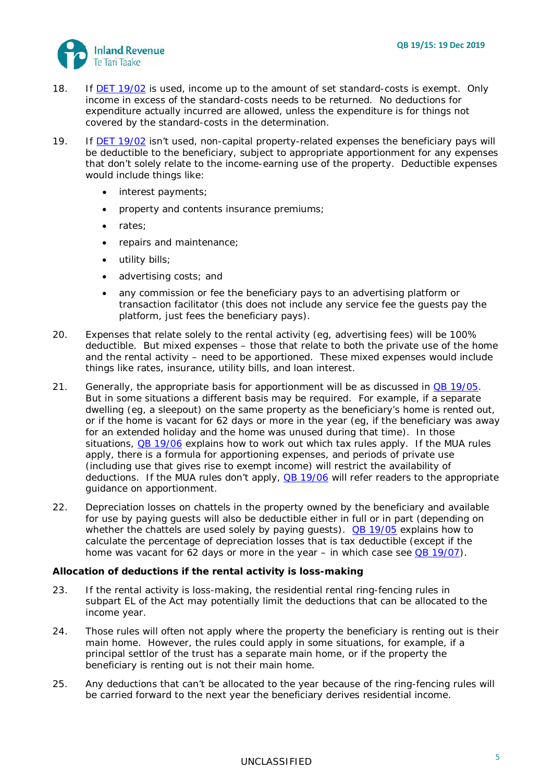

- 18. If DET [19/02](https://www.classic.ird.govt.nz/technical-tax/determinations/other/standard-cost/standard-cost-short-stay/) is used, income up to the amount of set standard-costs is exempt. Only income in excess of the standard-costs needs to be returned. No deductions for expenditure actually incurred are allowed, unless the expenditure is for things not covered by the standard-costs in the determination.
- <span id="page-4-0"></span>19. If DET [19/02](https://www.classic.ird.govt.nz/technical-tax/determinations/other/standard-cost/standard-cost-short-stay/) isn't used, non-capital property-related expenses the beneficiary pays will be deductible to the beneficiary, subject to appropriate apportionment for any expenses that don't solely relate to the income-earning use of the property. Deductible expenses would include things like:
	- interest payments;
	- property and contents insurance premiums;
	- rates;
	- repairs and maintenance;
	- utility bills;
	- advertising costs; and
	- any commission or fee the beneficiary pays to an advertising platform or transaction facilitator (this does not include any service fee the guests pay the platform, just fees the beneficiary pays).
- 20. Expenses that relate solely to the rental activity (eg, advertising fees) will be 100% deductible. But mixed expenses – those that relate to both the private use of the home and the rental activity – need to be apportioned. These mixed expenses would include things like rates, insurance, utility bills, and loan interest.
- 21. Generally, the appropriate basis for apportionment will be as discussed in  $\overline{OB}$  [19/05.](https://www.classic.ird.govt.nz/technical-tax/questions/questions-general/qwba-1905-to-1909-short-stay-accommodation.html) But in some situations a different basis may be required. For example, if a separate dwelling (eg, a sleepout) on the same property as the beneficiary's home is rented out, or if the home is vacant for 62 days or more in the year (eg, if the beneficiary was away for an extended holiday and the home was unused during that time). In those situations, QB [19/06](https://www.classic.ird.govt.nz/technical-tax/questions/questions-general/qwba-1905-to-1909-short-stay-accommodation.html) explains how to work out which tax rules apply. If the MUA rules apply, there is a formula for apportioning expenses, and periods of private use (including use that gives rise to exempt income) will restrict the availability of deductions. If the MUA rules don't apply, **QB [19/06](https://www.classic.ird.govt.nz/technical-tax/questions/questions-general/qwba-1905-to-1909-short-stay-accommodation.html)** will refer readers to the appropriate guidance on apportionment.
- 22. Depreciation losses on chattels in the property owned by the beneficiary and available for use by paying guests will also be deductible either in full or in part (depending on whether the chattels are used solely by paying guests).  $QR$  [19/05](https://www.classic.ird.govt.nz/technical-tax/questions/questions-general/qwba-1905-to-1909-short-stay-accommodation.html) explains how to calculate the percentage of depreciation losses that is tax deductible (except if the home was vacant for 62 days or more in the year  $-$  in which case see  $QB$  [19/07\)](https://www.classic.ird.govt.nz/technical-tax/questions/questions-general/qwba-1905-to-1909-short-stay-accommodation.html).

#### *Allocation of deductions if the rental activity is loss-making*

- 23. If the rental activity is loss-making, the residential rental ring-fencing rules in subpart EL of the Act may potentially limit the deductions that can be allocated to the income year.
- 24. Those rules will often not apply where the property the beneficiary is renting out is their main home. However, the rules could apply in some situations, for example, if a principal settlor of the trust has a separate main home, or if the property the beneficiary is renting out is not their main home.
- 25. Any deductions that can't be allocated to the year because of the ring-fencing rules will be carried forward to the next year the beneficiary derives residential income.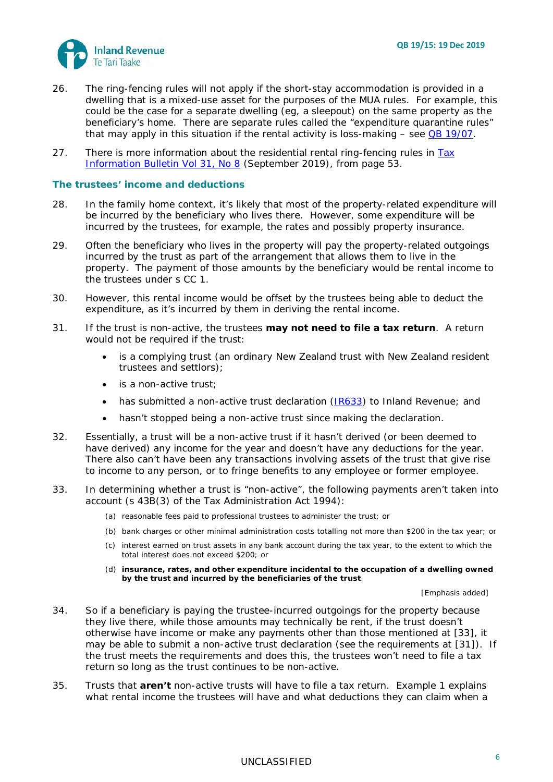

- 26. The ring-fencing rules will not apply if the short-stay accommodation is provided in a dwelling that is a mixed-use asset for the purposes of the MUA rules. For example, this could be the case for a separate dwelling (eg, a sleepout) on the same property as the beneficiary's home. There are separate rules called the "expenditure quarantine rules" that may apply in this situation if the rental activity is loss-making  $-$  see QB [19/07.](https://www.classic.ird.govt.nz/technical-tax/questions/questions-general/qwba-1905-to-1909-short-stay-accommodation.html)
- 27. There is more information about the residential rental ring-fencing rules in *[Tax](https://www.classic.ird.govt.nz/resources/9/c/9cbba65d-16d1-44b1-bc4e-747245732f03/tib-vol31-no8.pdf)  [Information Bulletin](https://www.classic.ird.govt.nz/resources/9/c/9cbba65d-16d1-44b1-bc4e-747245732f03/tib-vol31-no8.pdf)* Vol 31, No 8 (September 2019), from page 53.

#### **The trustees' income and deductions**

- 28. In the family home context, it's likely that most of the property-related expenditure will be incurred by the beneficiary who lives there. However, some expenditure will be incurred by the trustees, for example, the rates and possibly property insurance.
- 29. Often the beneficiary who lives in the property will pay the property-related outgoings incurred by the trust as part of the arrangement that allows them to live in the property. The payment of those amounts by the beneficiary would be rental income to the trustees under s CC 1.
- 30. However, this rental income would be offset by the trustees being able to deduct the expenditure, as it's incurred by them in deriving the rental income.
- <span id="page-5-1"></span>31. If the trust is non-active, the trustees **may not need to file a tax return**. A return would not be required if the trust:
	- is a complying trust (an ordinary New Zealand trust with New Zealand resident trustees and settlors);
	- is a non-active trust;
	- has submitted a non-active trust declaration [\(IR633\)](https://www.classic.ird.govt.nz/forms-guides/keyword/trustsandestates/ir633-nonactive-company-declaration.html) to Inland Revenue; and
	- hasn't stopped being a non-active trust since making the declaration.
- 32. Essentially, a trust will be a non-active trust if it hasn't derived (or been deemed to have derived) any income for the year and doesn't have any deductions for the year. There also can't have been any transactions involving assets of the trust that give rise to income to any person, or to fringe benefits to any employee or former employee.
- <span id="page-5-0"></span>33. In determining whether a trust is "non-active", the following payments aren't taken into account (s 43B(3) of the Tax Administration Act 1994):
	- (a) reasonable fees paid to professional trustees to administer the trust; or
	- (b) bank charges or other minimal administration costs totalling not more than \$200 in the tax year; or
	- (c) interest earned on trust assets in any bank account during the tax year, to the extent to which the total interest does not exceed \$200; or
	- (d) **insurance, rates, and other expenditure incidental to the occupation of a dwelling owned by the trust and incurred by the beneficiaries of the trust**.

[Emphasis added]

- 34. So if a beneficiary is paying the trustee-incurred outgoings for the property because they live there, while those amounts may technically be rent, if the trust doesn't otherwise have income or make any payments other than those mentioned at [\[33\]](#page-5-0), it may be able to submit a non-active trust declaration (see the requirements at [\[31\]](#page-5-1)). If the trust meets the requirements and does this, the trustees won't need to file a tax return so long as the trust continues to be non-active.
- 35. Trusts that **aren't** non-active trusts will have to file a tax return. Example 1 explains what rental income the trustees will have and what deductions they can claim when a

## 6 UNCLASSIFIED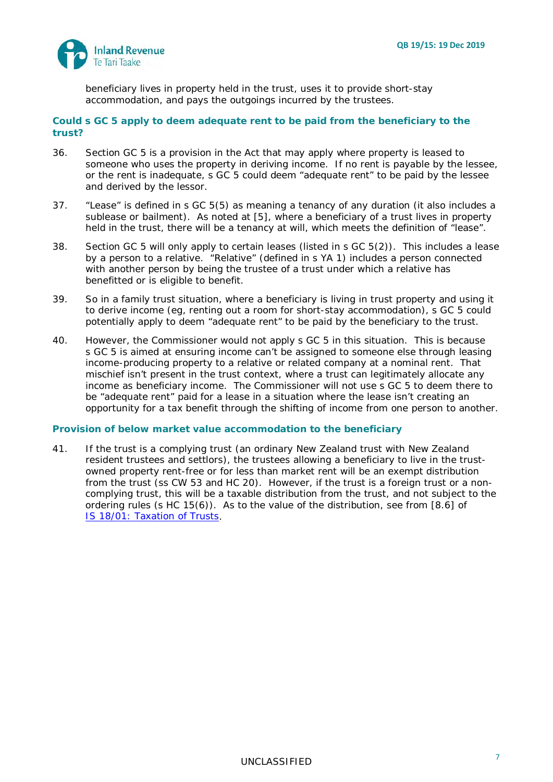

beneficiary lives in property held in the trust, uses it to provide short-stay accommodation, and pays the outgoings incurred by the trustees.

#### **Could s GC 5 apply to deem adequate rent to be paid from the beneficiary to the trust?**

- 36. Section GC 5 is a provision in the Act that may apply where property is leased to someone who uses the property in deriving income. If no rent is payable by the lessee, or the rent is inadequate, s GC 5 could deem "adequate rent" to be paid by the lessee and derived by the lessor.
- 37. "Lease" is defined in s GC 5(5) as meaning a tenancy of any duration (it also includes a sublease or bailment). As noted at [\[5\]](#page-1-3), where a beneficiary of a trust lives in property held in the trust, there will be a tenancy at will, which meets the definition of "lease".
- 38. Section GC 5 will only apply to certain leases (listed in s GC 5(2)). This includes a lease by a person to a relative. "Relative" (defined in s YA 1) includes a person connected with another person by being the trustee of a trust under which a relative has benefitted or is eligible to benefit.
- 39. So in a family trust situation, where a beneficiary is living in trust property and using it to derive income (eg, renting out a room for short-stay accommodation), s GC 5 could potentially apply to deem "adequate rent" to be paid by the beneficiary to the trust.
- 40. However, the Commissioner would not apply s GC 5 in this situation. This is because s GC 5 is aimed at ensuring income can't be assigned to someone else through leasing income-producing property to a relative or related company at a nominal rent. That mischief isn't present in the trust context, where a trust can legitimately allocate any income as beneficiary income. The Commissioner will not use s GC 5 to deem there to be "adequate rent" paid for a lease in a situation where the lease isn't creating an opportunity for a tax benefit through the shifting of income from one person to another.

#### **Provision of below market value accommodation to the beneficiary**

41. If the trust is a complying trust (an ordinary New Zealand trust with New Zealand resident trustees and settlors), the trustees allowing a beneficiary to live in the trustowned property rent-free or for less than market rent will be an exempt distribution from the trust (ss CW 53 and HC 20). However, if the trust is a foreign trust or a noncomplying trust, this will be a taxable distribution from the trust, and not subject to the ordering rules (s HC 15(6)). As to the value of the distribution, see from [8.6] of IS 18/01: *[Taxation of Trusts](https://www.classic.ird.govt.nz/resources/2/9/2999de34-26c3-4ac3-bdb3-cad3e97c3cd6/is18-01.pdf)*.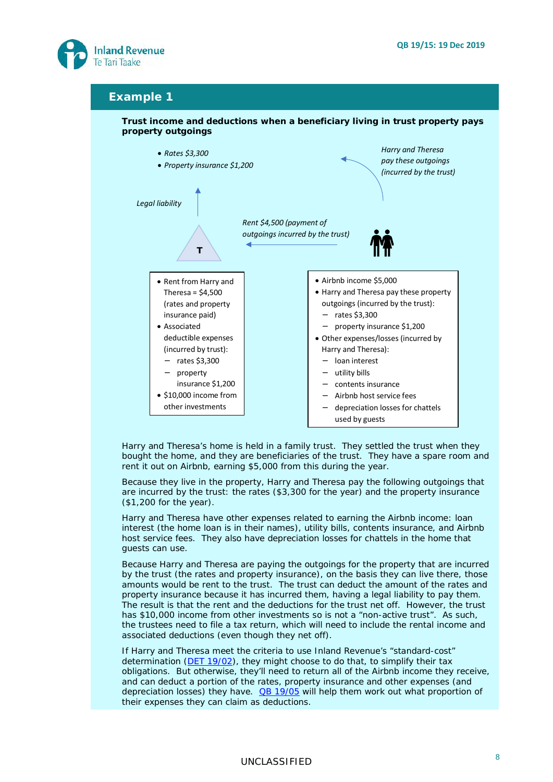

#### **Example 1**



*Harry and Theresa's home is held in a family trust. They settled the trust when they bought the home, and they are beneficiaries of the trust. They have a spare room and rent it out on Airbnb, earning \$5,000 from this during the year.*

*Because they live in the property, Harry and Theresa pay the following outgoings that are incurred by the trust: the rates (\$3,300 for the year) and the property insurance (\$1,200 for the year).*

*Harry and Theresa have other expenses related to earning the Airbnb income: loan interest (the home loan is in their names), utility bills, contents insurance, and Airbnb host service fees. They also have depreciation losses for chattels in the home that guests can use.*

*Because Harry and Theresa are paying the outgoings for the property that are incurred by the trust (the rates and property insurance), on the basis they can live there, those amounts would be rent to the trust. The trust can deduct the amount of the rates and property insurance because it has incurred them, having a legal liability to pay them. The result is that the rent and the deductions for the trust net off. However, the trust has \$10,000 income from other investments so is not a "non-active trust". As such, the trustees need to file a tax return, which will need to include the rental income and associated deductions (even though they net off).*

*If Harry and Theresa meet the criteria to use Inland Revenue's "standard-cost" determination (DET [19/02\)](https://www.classic.ird.govt.nz/technical-tax/determinations/other/standard-cost/standard-cost-short-stay/), they might choose to do that, to simplify their tax obligations. But otherwise, they'll need to return all of the Airbnb income they receive, and can deduct a portion of the rates, property insurance and other expenses (and depreciation losses) they have. QB [19/05](https://www.classic.ird.govt.nz/technical-tax/questions/questions-general/qwba-1905-to-1909-short-stay-accommodation.html) will help them work out what proportion of their expenses they can claim as deductions.*